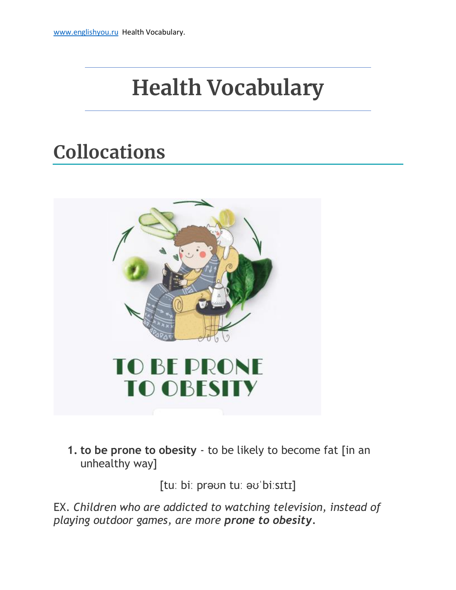# **Health Vocabulary**

## **Collocations**



**1. to be prone to obesity** - to be likely to become fat [in an unhealthy way]

[tuː biː prəʊn tuː əʊˈbiːsɪtɪ]

EX. *Children who are addicted to watching television, instead of playing outdoor games, are more prone to obesity.*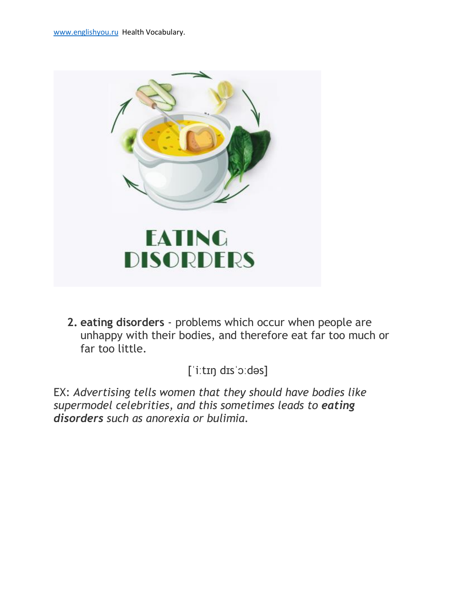

**2. eating disorders** - problems which occur when people are unhappy with their bodies, and therefore eat far too much or far too little.

[ˈiːtɪŋ dɪsˈɔːdəs]

EX: *Advertising tells women that they should have bodies like supermodel celebrities, and this sometimes leads to eating disorders such as anorexia or bulimia.*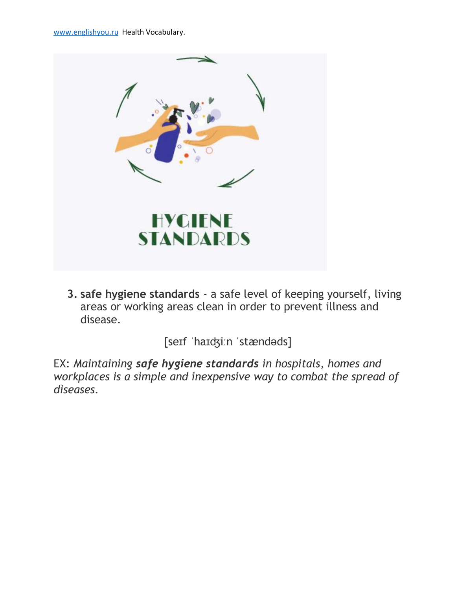

**3. safe hygiene standards** - a safe level of keeping yourself, living areas or working areas clean in order to prevent illness and disease.

[seɪf ˈhaɪʤiːn ˈstændəds]

EX: *Maintaining safe hygiene standards in hospitals, homes and workplaces is a simple and inexpensive way to combat the spread of diseases.*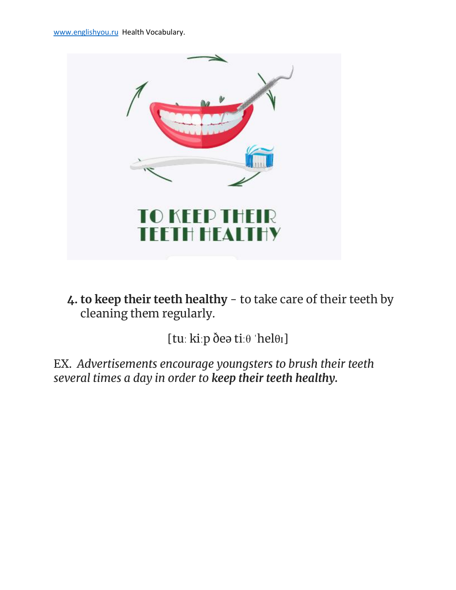

**4. to keep their teeth healthy** - to take care of their teeth by cleaning them regularly.

[tuː kiːp ðeə tiːθ ˈhelθɪ]

EX. *Advertisements encourage youngsters to brush their teeth several times a day in order to keep their teeth healthy.*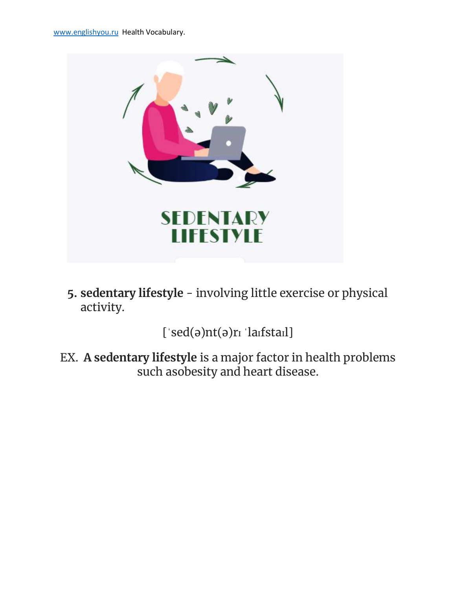

**5. sedentary lifestyle** - involving little exercise or physical activity.

[ˈsed(ə)nt(ə)rɪ ˈlaɪfstaɪl]

EX. **A sedentary lifestyle** is a major factor in health problems such asobesity and heart disease.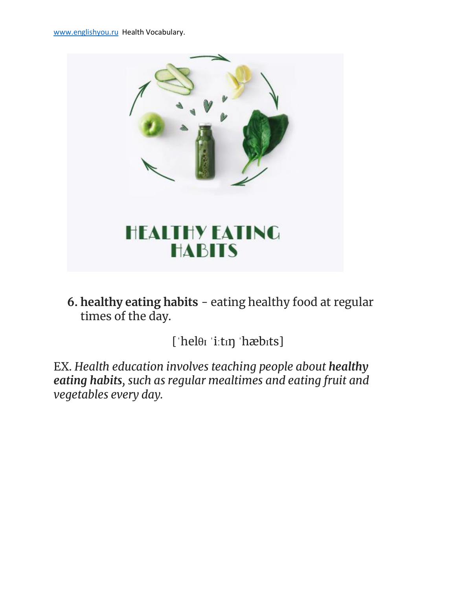

**6. healthy eating habits** - eating healthy food at regular times of the day.

[ˈhelθɪ ˈiːtɪŋ ˈhæbɪts]

EX. *Health education involves teaching people about healthy eating habits, such as regular mealtimes and eating fruit and vegetables every day.*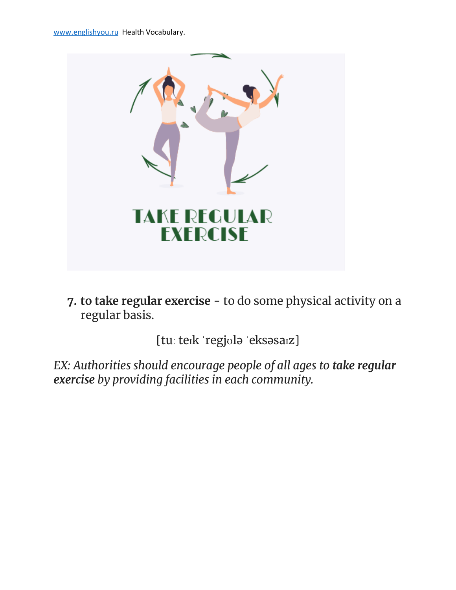

**7. to take regular exercise** - to do some physical activity on a regular basis.

[tuː teɪk ˈregjʊlə ˈeksəsaɪz]

*EX: Authorities should encourage people of all ages to take regular exercise by providing facilities in each community.*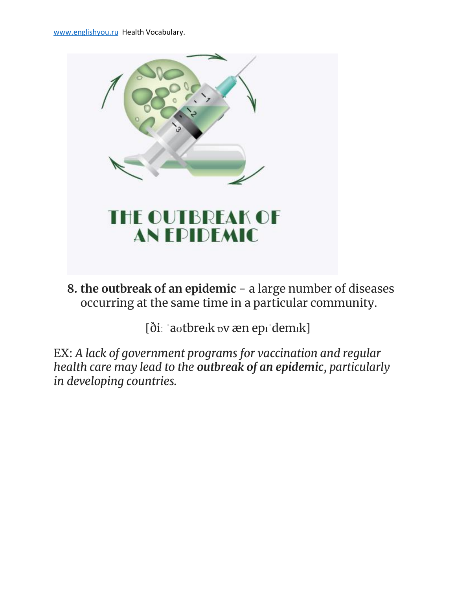

**8. the outbreak of an epidemic** - a large number of diseases occurring at the same time in a particular community.

[ðiː ˈaʊtbreɪk ɒv æn epɪˈdemɪk]

EX: *A lack of government programs for vaccination and regular health care may lead to the outbreak of an epidemic, particularly in developing countries.*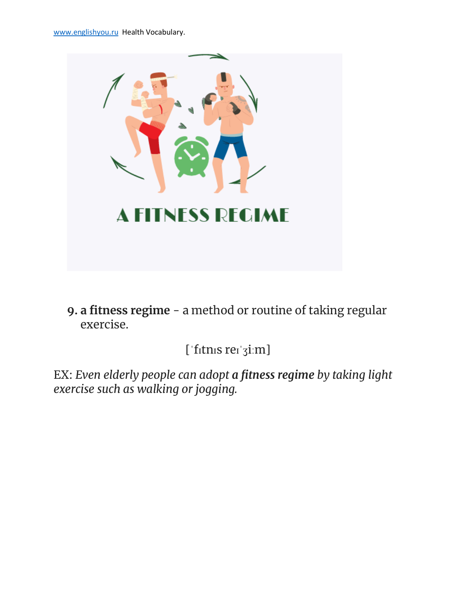

**9. a fitness regime** - a method or routine of taking regular exercise.

[ˈfɪtnɪs reɪˈʒiːm]

EX: *Even elderly people can adopt a fitness regime by taking light exercise such as walking or jogging.*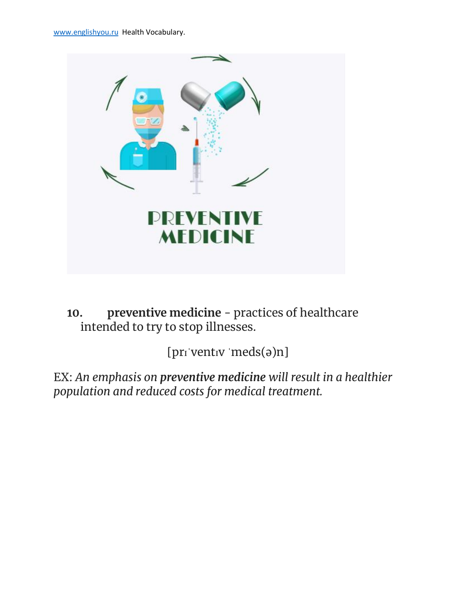

**10. preventive medicine** - practices of healthcare intended to try to stop illnesses.

[prɪˈventɪv ˈmeds(ə)n]

EX: *An emphasis on preventive medicine will result in a healthier population and reduced costs for medical treatment.*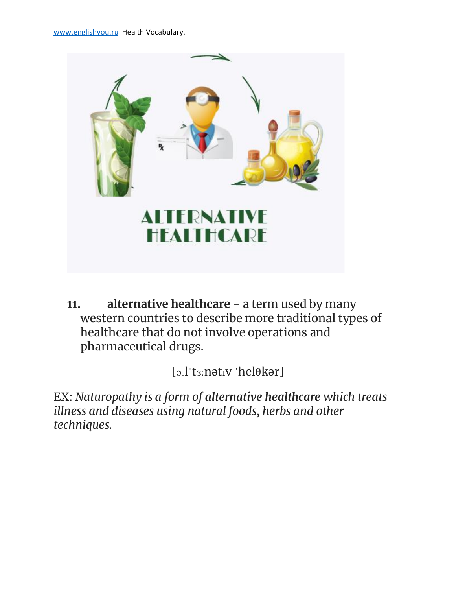

**11. alternative healthcare** - a term used by many western countries to describe more traditional types of healthcare that do not involve operations and pharmaceutical drugs.

[ɔːlˈtɜːnətɪv ˈhelθkər]

EX: *Naturopathy is a form of alternative healthcare which treats illness and diseases using natural foods, herbs and other techniques.*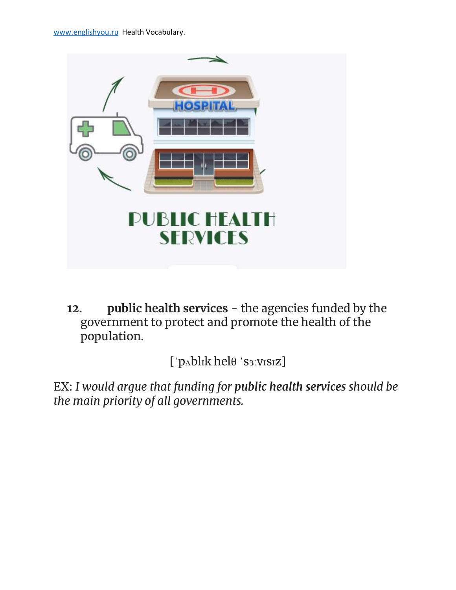

**12. public health services** - the agencies funded by the government to protect and promote the health of the population.

[ˈpʌblɪk helθ ˈsɜːvɪsɪz]

EX: *I would argue that funding for public health services should be the main priority of all governments.*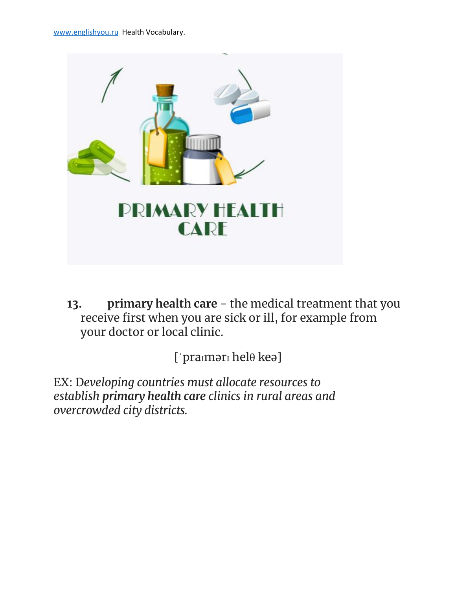

**13. primary health care** - the medical treatment that you receive first when you are sick or ill, for example from your doctor or local clinic.

[ˈpraɪmərɪ helθ keə]

EX: D*eveloping countries must allocate resources to establish primary health care clinics in rural areas and overcrowded city districts.*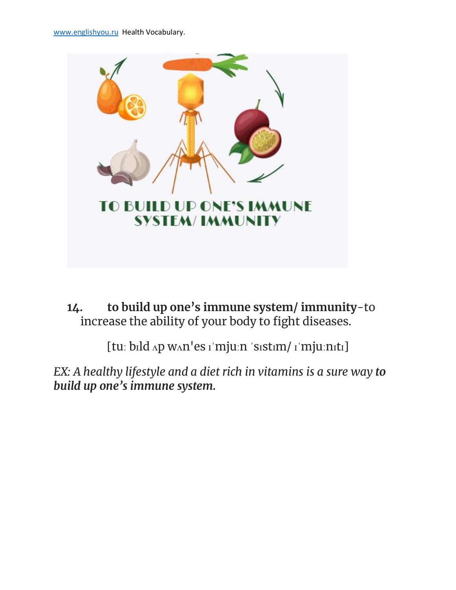

**14. to build up one's immune system/ immunity**-to increase the ability of your body to fight diseases.

[tuː bɪld ʌp wʌn'es ɪˈmjuːn ˈsɪstɪm/ ɪˈmjuːnɪtɪ]

*EX: A healthy lifestyle and a diet rich in vitamins is a sure way to build up one's immune system.*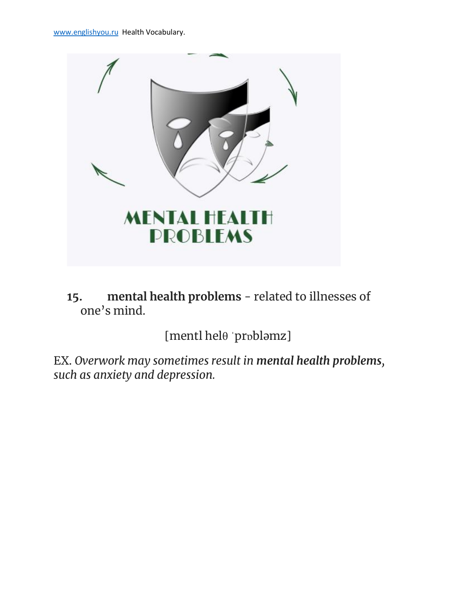

**15. mental health problems** - related to illnesses of one's mind.

[mentl helθ ˈprɒbləmz]

EX. *Overwork may sometimes result in mental health problems, such as anxiety and depression.*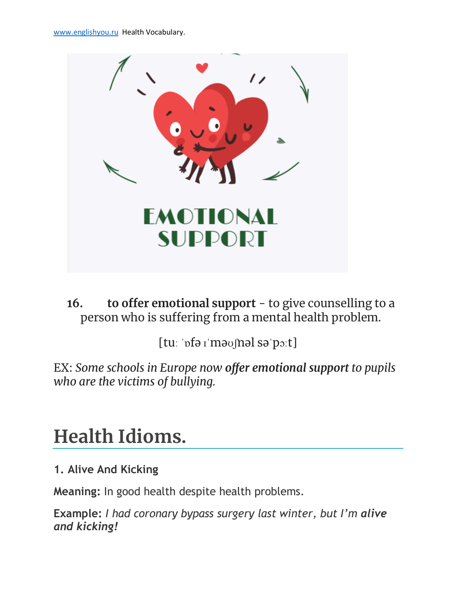

### **16. to offer emotional support** - to give counselling to a person who is suffering from a mental health problem.

[tuː ˈɒfə ɪˈməʊʃnəl səˈpɔːt]

EX: *Some schools in Europe now offer emotional support to pupils who are the victims of bullying.*

### **Health Idioms.**

#### **1. Alive And Kicking**

**Meaning:** In good health despite health problems.

**Example:** *I had coronary bypass surgery last winter, but I'm alive and kicking!*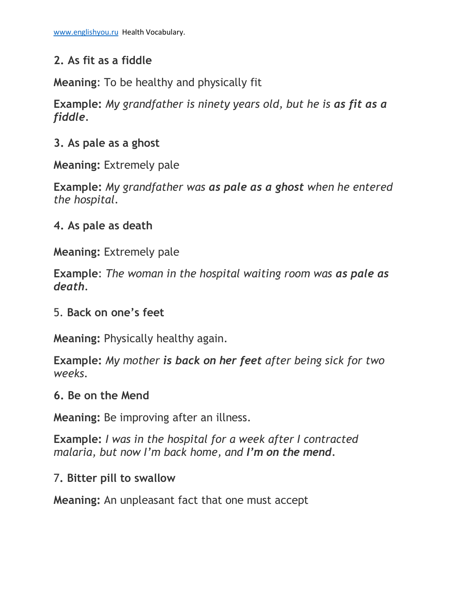#### **2. As fit as a fiddle**

**Meaning**: To be healthy and physically fit

**Example:** *My grandfather is ninety years old, but he is as fit as a fiddle.*

#### **3. As pale as a ghost**

**Meaning:** Extremely pale

**Example:** *My grandfather was as pale as a ghost when he entered the hospital*.

#### **4. As pale as death**

**Meaning:** Extremely pale

**Example**: *The woman in the hospital waiting room was as pale as death.*

#### 5. **Back on one's feet**

**Meaning:** Physically healthy again.

**Example:** *My mother is back on her feet after being sick for two weeks.*

#### **6. Be on the Mend**

**Meaning:** Be improving after an illness.

**Example:** *I was in the hospital for a week after I contracted malaria, but now I'm back home, and I'm on the mend.*

#### 7**. Bitter pill to swallow**

**Meaning:** An unpleasant fact that one must accept